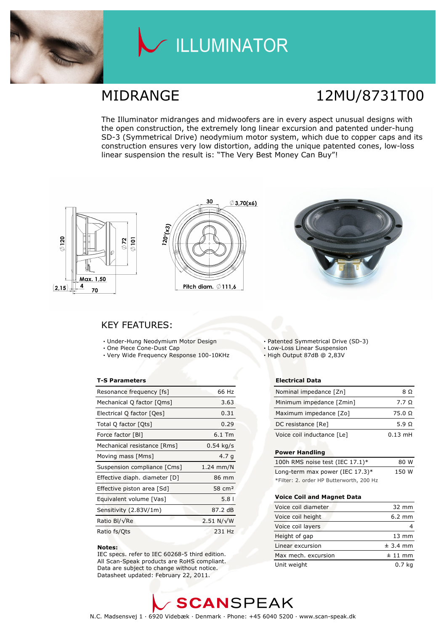

# LLUMINATOR

## MIDRANGE 12MU/8731T00

The Illuminator midranges and midwoofers are in every aspect unusual designs with the open construction, the extremely long linear excursion and patented under-hung SD-3 (Symmetrical Drive) neodymium motor system, which due to copper caps and its construction ensures very low distortion, adding the unique patented cones, low-loss linear suspension the result is: "The Very Best Money Can Buy"!







### KEY FEATURES:

- Under-Hung Neodymium Motor Design
- One Piece Cone-Dust Cap
- Very Wide Frequency Response 100-10KHz

#### T-S Parameters

| Resonance frequency [fs]      | 66 Hz              |
|-------------------------------|--------------------|
| Mechanical Q factor [Qms]     | 3.63               |
| Electrical Q factor [Qes]     | 0.31               |
| Total Q factor [Ots]          | 0.29               |
| Force factor [BI]             | $6.1$ Tm           |
| Mechanical resistance [Rms]   | $0.54$ kg/s        |
| Moving mass [Mms]             | 4.7 <sub>q</sub>   |
| Suspension compliance [Cms]   | $1.24$ mm/N        |
| Effective diaph. diameter [D] | 86 mm              |
| Effective piston area [Sd]    | 58 cm <sup>2</sup> |
| Equivalent volume [Vas]       | 5.8 <sub>1</sub>   |
| Sensitivity (2.83V/1m)        | 87.2 dB            |
| Ratio Bl/√Re                  | $2.51 N/\sqrt{W}$  |
| Ratio fs/Qts                  | 231 Hz             |

#### Notes:

 IEC specs. refer to IEC 60268-5 third edition. All Scan-Speak products are RoHS compliant. Data are subject to change without notice. Datasheet updated: February 22, 2011.

Patented Symmetrical Drive (SD-3)

Low-Loss Linear Suspension

High Output 87dB @ 2,83V

#### Electrical Data

| Nominal impedance [Zn]     | 8 O           |
|----------------------------|---------------|
| Minimum impedance [Zmin]   | 7.7 Q         |
| Maximum impedance [Zo]     | $75.0 \Omega$ |
| DC resistance [Re]         | 5.9 Q         |
| Voice coil inductance [Le] | $0.13$ mH     |

#### Power Handling

| 100h RMS noise test (IEC 17.1)*          | 80 W  |
|------------------------------------------|-------|
| Long-term max power (IEC $17.3$ )*       | 150 W |
| *Filter: 2. order HP Butterworth, 200 Hz |       |

#### Voice Coil and Magnet Data

| Voice coil diameter | $32 \text{ mm}$  |
|---------------------|------------------|
| Voice coil height   | $6.2 \text{ mm}$ |
| Voice coil layers   |                  |
| Height of gap       | $13 \text{ mm}$  |
| Linear excursion    | $± 3.4$ mm       |
| Max mech. excursion | $± 11$ mm        |
| Unit weight         | 0.7 <sub>k</sub> |